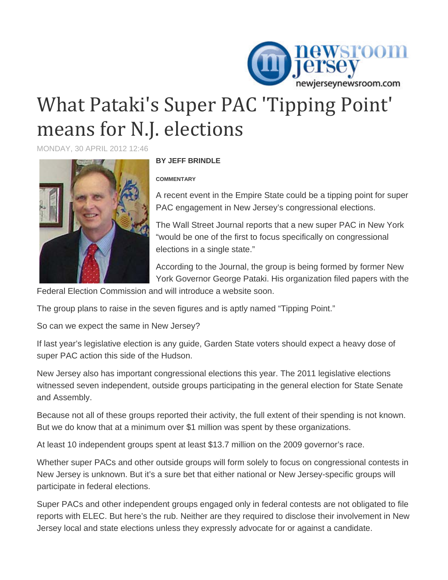

## What Pataki's Super PAC 'Tipping Point' means for N.J. elections

MONDAY, 30 APRIL 2012 12:46



## **BY JEFF BRINDLE**

## **COMMENTARY**

A recent event in the Empire State could be a tipping point for super PAC engagement in New Jersey's congressional elections.

The Wall Street Journal reports that a new super PAC in New York "would be one of the first to focus specifically on congressional elections in a single state."

According to the Journal, the group is being formed by former New York Governor George Pataki. His organization filed papers with the

Federal Election Commission and will introduce a website soon.

The group plans to raise in the seven figures and is aptly named "Tipping Point."

So can we expect the same in New Jersey?

If last year's legislative election is any guide, Garden State voters should expect a heavy dose of super PAC action this side of the Hudson.

New Jersey also has important congressional elections this year. The 2011 legislative elections witnessed seven independent, outside groups participating in the general election for State Senate and Assembly.

Because not all of these groups reported their activity, the full extent of their spending is not known. But we do know that at a minimum over \$1 million was spent by these organizations.

At least 10 independent groups spent at least \$13.7 million on the 2009 governor's race.

Whether super PACs and other outside groups will form solely to focus on congressional contests in New Jersey is unknown. But it's a sure bet that either national or New Jersey-specific groups will participate in federal elections.

Super PACs and other independent groups engaged only in federal contests are not obligated to file reports with ELEC. But here's the rub. Neither are they required to disclose their involvement in New Jersey local and state elections unless they expressly advocate for or against a candidate.